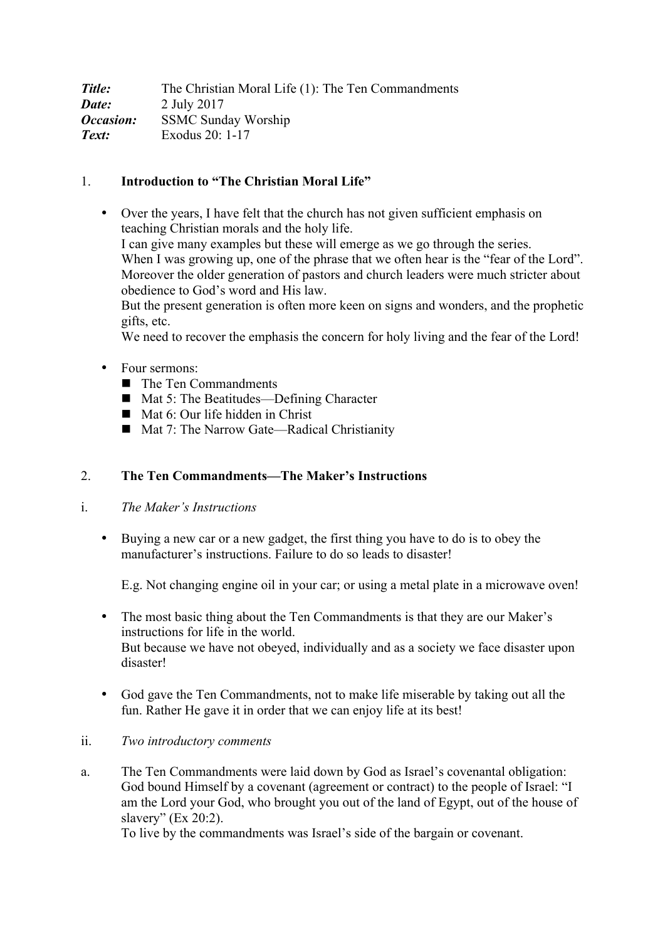| Title:                  | The Christian Moral Life (1): The Ten Commandments |
|-------------------------|----------------------------------------------------|
| Date:                   | 2 July 2017                                        |
| <i><b>Occasion:</b></i> | <b>SSMC Sunday Worship</b>                         |
| Text:                   | Exodus 20: 1-17                                    |

# 1. **Introduction to "The Christian Moral Life"**

• Over the years, I have felt that the church has not given sufficient emphasis on teaching Christian morals and the holy life. I can give many examples but these will emerge as we go through the series. When I was growing up, one of the phrase that we often hear is the "fear of the Lord". Moreover the older generation of pastors and church leaders were much stricter about obedience to God's word and His law. But the present generation is often more keen on signs and wonders, and the prophetic gifts, etc.

We need to recover the emphasis the concern for holy living and the fear of the Lord!

- Four sermons:
	- The Ten Commandments
	- Mat 5: The Beatitudes—Defining Character
	- Mat 6: Our life hidden in Christ
	- Mat 7: The Narrow Gate—Radical Christianity

#### 2. **The Ten Commandments—The Maker's Instructions**

### i. *The Maker's Instructions*

• Buying a new car or a new gadget, the first thing you have to do is to obey the manufacturer's instructions. Failure to do so leads to disaster!

E.g. Not changing engine oil in your car; or using a metal plate in a microwave oven!

- The most basic thing about the Ten Commandments is that they are our Maker's instructions for life in the world. But because we have not obeyed, individually and as a society we face disaster upon disaster!
- God gave the Ten Commandments, not to make life miserable by taking out all the fun. Rather He gave it in order that we can enjoy life at its best!
- ii. *Two introductory comments*
- a. The Ten Commandments were laid down by God as Israel's covenantal obligation: God bound Himself by a covenant (agreement or contract) to the people of Israel: "I am the Lord your God, who brought you out of the land of Egypt, out of the house of slavery" (Ex 20:2).

To live by the commandments was Israel's side of the bargain or covenant.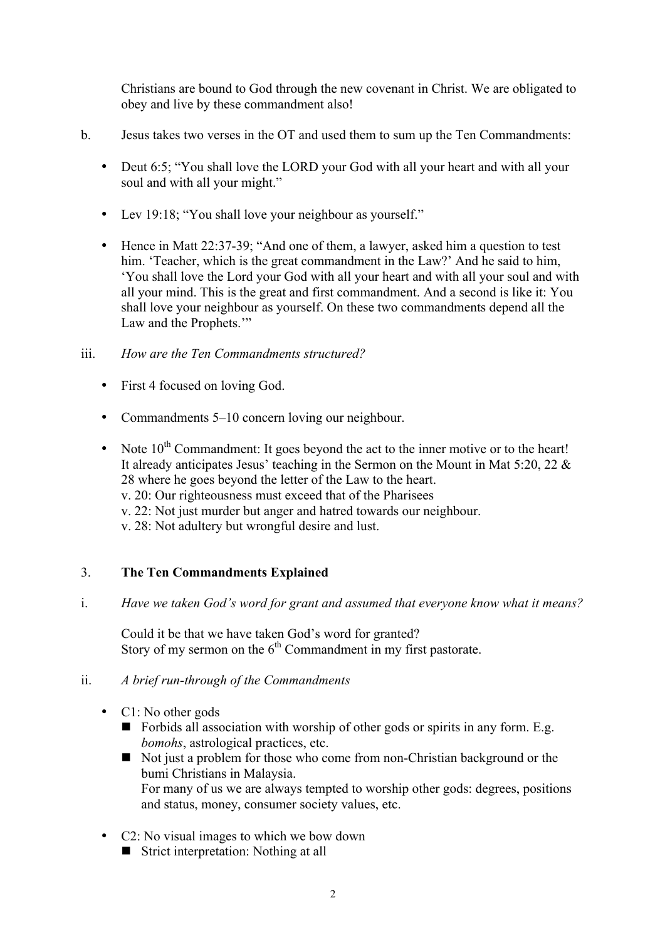Christians are bound to God through the new covenant in Christ. We are obligated to obey and live by these commandment also!

- b. Jesus takes two verses in the OT and used them to sum up the Ten Commandments:
	- Deut 6:5; "You shall love the LORD your God with all your heart and with all your soul and with all your might."
	- Lev 19:18; "You shall love your neighbour as yourself."
	- Hence in Matt 22:37-39; "And one of them, a lawyer, asked him a question to test him. 'Teacher, which is the great commandment in the Law?' And he said to him, 'You shall love the Lord your God with all your heart and with all your soul and with all your mind. This is the great and first commandment. And a second is like it: You shall love your neighbour as yourself. On these two commandments depend all the Law and the Prophets.'"

#### iii. *How are the Ten Commandments structured?*

- First 4 focused on loving God.
- Commandments 5–10 concern loving our neighbour.
- Note  $10^{th}$  Commandment: It goes beyond the act to the inner motive or to the heart! It already anticipates Jesus' teaching in the Sermon on the Mount in Mat 5:20, 22 & 28 where he goes beyond the letter of the Law to the heart. v. 20: Our righteousness must exceed that of the Pharisees v. 22: Not just murder but anger and hatred towards our neighbour.
	- v. 28: Not adultery but wrongful desire and lust.

## 3. **The Ten Commandments Explained**

i. *Have we taken God's word for grant and assumed that everyone know what it means?*

Could it be that we have taken God's word for granted? Story of my sermon on the  $6<sup>th</sup>$  Commandment in my first pastorate.

#### ii. *A brief run-through of the Commandments*

- C1: No other gods
	- $\blacksquare$  Forbids all association with worship of other gods or spirits in any form. E.g. *bomohs*, astrological practices, etc.
	- Not just a problem for those who come from non-Christian background or the bumi Christians in Malaysia. For many of us we are always tempted to worship other gods: degrees, positions and status, money, consumer society values, etc.
- C2: No visual images to which we bow down
	- **Exercise 15 Strict interpretation:** Nothing at all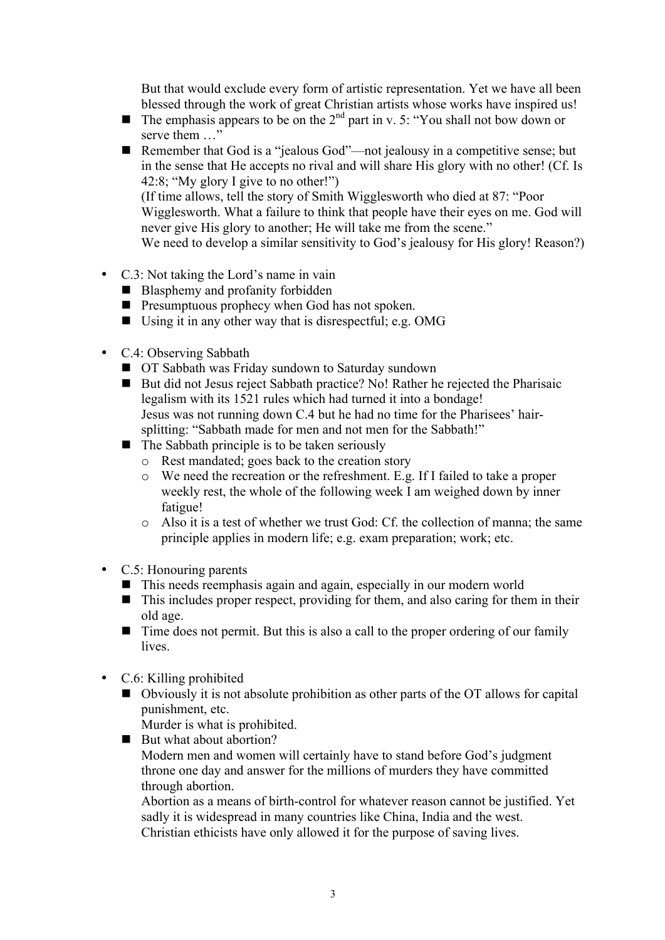But that would exclude every form of artistic representation. Yet we have all been blessed through the work of great Christian artists whose works have inspired us!

- **I** The emphasis appears to be on the  $2<sup>nd</sup>$  part in v. 5: "You shall not bow down or serve them …"
- Remember that God is a "jealous God"—not jealousy in a competitive sense; but in the sense that He accepts no rival and will share His glory with no other! (Cf. Is 42:8; "My glory I give to no other!") (If time allows, tell the story of Smith Wigglesworth who died at 87: "Poor Wigglesworth. What a failure to think that people have their eyes on me. God will never give His glory to another; He will take me from the scene." We need to develop a similar sensitivity to God's jealousy for His glory! Reason?)
- C.3: Not taking the Lord's name in vain
	- Blasphemy and profanity forbidden
	- **E** Presumptuous prophecy when God has not spoken.
	- Using it in any other way that is disrespectful; e.g. OMG
- C.4: Observing Sabbath
	- $\blacksquare$  OT Sabbath was Friday sundown to Saturday sundown
	- But did not Jesus reject Sabbath practice? No! Rather he rejected the Pharisaic legalism with its 1521 rules which had turned it into a bondage! Jesus was not running down C.4 but he had no time for the Pharisees' hairsplitting: "Sabbath made for men and not men for the Sabbath!"
	- $\blacksquare$  The Sabbath principle is to be taken seriously
		- o Rest mandated; goes back to the creation story
		- o We need the recreation or the refreshment. E.g. If I failed to take a proper weekly rest, the whole of the following week I am weighed down by inner fatigue!
		- o Also it is a test of whether we trust God: Cf. the collection of manna; the same principle applies in modern life; e.g. exam preparation; work; etc.
- C.5: Honouring parents
	- ! This needs reemphasis again and again, especially in our modern world
	- $\blacksquare$  This includes proper respect, providing for them, and also caring for them in their old age.
	- $\blacksquare$  Time does not permit. But this is also a call to the proper ordering of our family **lives**
- C.6: Killing prohibited
	- ! Obviously it is not absolute prohibition as other parts of the OT allows for capital punishment, etc.
		- Murder is what is prohibited.
	- $\blacksquare$  But what about abortion?

Modern men and women will certainly have to stand before God's judgment throne one day and answer for the millions of murders they have committed through abortion.

Abortion as a means of birth-control for whatever reason cannot be justified. Yet sadly it is widespread in many countries like China, India and the west. Christian ethicists have only allowed it for the purpose of saving lives.